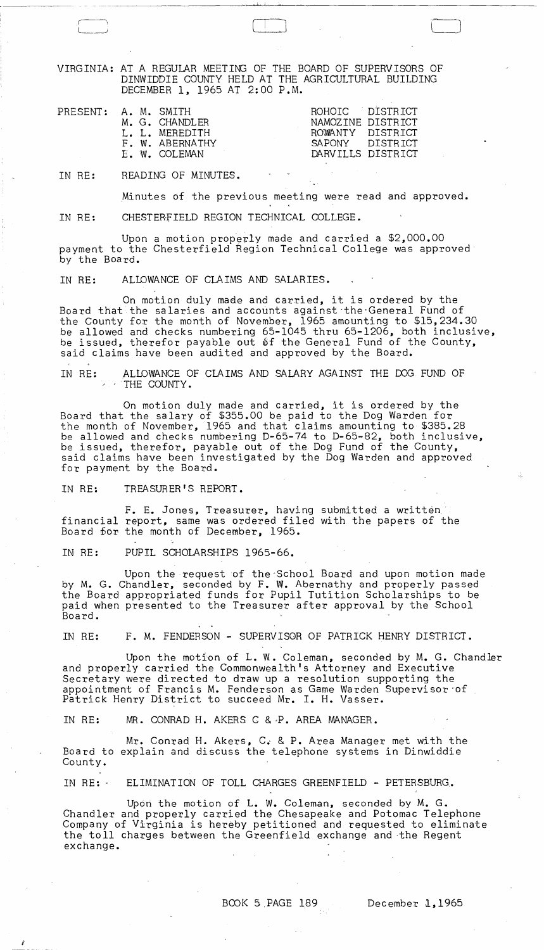VIRGINIA: AT A REGULAR MEETING OF THE BOARD OF SUPERVISORS OF DINWIDDIE COUNTY HELD AT THE AGRICULTURAL BUILDING DECEMBER 1, 1965 AT 2:00 P.M.

بانبسته

 $\bigcup$ 

|  | : A. M. SMITH   | ROHOIC DISTRICT   |                   |
|--|-----------------|-------------------|-------------------|
|  | M. G. CHANDLER  | NAMOZINE DISTRICT |                   |
|  | L. L. MEREDITH  | ROWANTY DISTRICT  |                   |
|  | F. W. ABERNATHY | SAPONY DISTRICT   |                   |
|  | E. W. COLEMAN   |                   | DARVILLS DISTRICT |
|  |                 |                   |                   |

IN RE: READING OF MINUTES.

PRESENT

.Minutes of the previous meeting were read and approved.

IN RE: CHESTERFIELD REGION TECHNICAL COLLEGE.

Upon a motion properly made and carried a \$2,000.00 payment to the Chesterfield Region Technical College was approved by the Board.

## IN RE: ALLOWANCE OF CLAIMS AND SALARIES.

On motion duly made and carried, it is ordered by the Board that the salaries and accounts against the General Fund of the County for the month of November, 1965 amounting to \$15,234.30 be allowed and checks numbering 65-1045 thru 65-1206, both inclusive, be issued, therefor payable out of the General Fund of the County, said claims have been audited and approved by the Board.

IN RE: ALLOWANCE OF CLAIMS AND SALARY AGAINST THE OOG FUND OF .' . . THE COUNTY.

On motion duly made and carried, it is ordered by the Board that the salary of \$355.00 be paid to the Dog Warden for the month of November, 1965 and that claims amounting to \$385.28 be allowed and checks numbering D-65-74 to D-65-82, both inclusive, be issued, therefor, payable out of the Dog Fund of the County, said claims have been investigated by the Dog Warden and approved for payment by the Board.

IN RE: TREASURER'S REPORT.

I

F. E. Jones, Treasurer, having submitted a written financial report, same was ordered filed with the papers of the Board for the month of December, 1965.

IN RE: PUPIL SCHOLARSHIPS 1965-66.

Upon the request of the 'School Board and upon motion made by M. G. Chandler, seconded by F. W. Abernathy and properly passed the Board appropriated funds for Pupil Tutition Scholarships to be paid when presented to the Treasurer after approval by the School Board.

IN RE: F. M. FENDERSON - SUPERVISOR OF PATRICK HENRY DISTRICT.

Upon the motion of L. W. Coleman, seconded by M. G. Chandler and properly carried the Commonwealth's Attorney and Executive Secretary were directed to draw up a resolution supporting the appointment of Francis M. Fenderson as Game Warden Supervisor 'of Patrick Henry District to succeed Mr. I. H. Vasser.

IN RE: MR. CONRAD H. AKERS C &~P. AREA MANAGER.

Mr. Conrad H. Akers, C~ & P. Area Manager met with the Board to explain and discuss the telephone systems in Dinwiddie County.

IN RE: 0 ELIMINATION OF TOLL CHARGES GREENFIELD - PETERSBURG.

Upon the motion of L. W. Coleman, seconded by M. G. Chandler and properly carried the Chesapeake and Potomac Telephone Company of Virginia is hereby petitioned and requested to eliminate the toll charges between the Greenfield exchange and the Regent exchange.

 $\sim$